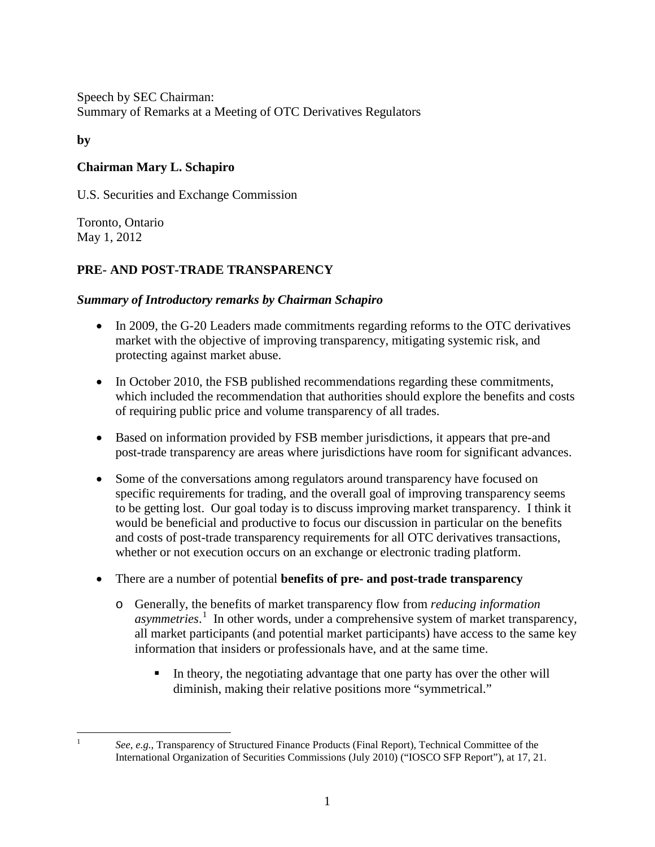Speech by SEC Chairman: Summary of Remarks at a Meeting of OTC Derivatives Regulators

**by**

<span id="page-0-0"></span> $\frac{1}{1}$ 

## **Chairman Mary L. Schapiro**

U.S. Securities and Exchange Commission

Toronto, Ontario May 1, 2012

# **PRE- AND POST-TRADE TRANSPARENCY**

### *Summary of Introductory remarks by Chairman Schapiro*

- In 2009, the G-20 Leaders made commitments regarding reforms to the OTC derivatives market with the objective of improving transparency, mitigating systemic risk, and protecting against market abuse.
- In October 2010, the FSB published recommendations regarding these commitments, which included the recommendation that authorities should explore the benefits and costs of requiring public price and volume transparency of all trades.
- Based on information provided by FSB member jurisdictions, it appears that pre-and post-trade transparency are areas where jurisdictions have room for significant advances.
- Some of the conversations among regulators around transparency have focused on specific requirements for trading, and the overall goal of improving transparency seems to be getting lost. Our goal today is to discuss improving market transparency. I think it would be beneficial and productive to focus our discussion in particular on the benefits and costs of post-trade transparency requirements for all OTC derivatives transactions, whether or not execution occurs on an exchange or electronic trading platform.
- There are a number of potential **benefits of pre- and post-trade transparency**
	- o Generally, the benefits of market transparency flow from *reducing information asymmetries*. [1](#page-0-0) In other words, under a comprehensive system of market transparency, all market participants (and potential market participants) have access to the same key information that insiders or professionals have, and at the same time.
		- In theory, the negotiating advantage that one party has over the other will diminish, making their relative positions more "symmetrical."

*See*, *e.g.*, Transparency of Structured Finance Products (Final Report), Technical Committee of the International Organization of Securities Commissions (July 2010) ("IOSCO SFP Report"), at 17, 21.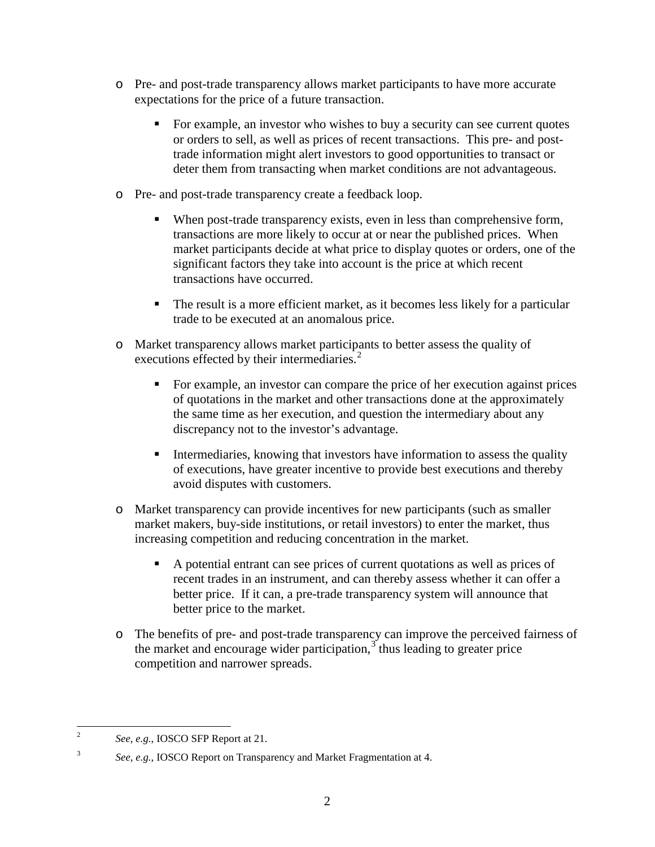- o Pre- and post-trade transparency allows market participants to have more accurate expectations for the price of a future transaction.
	- For example, an investor who wishes to buy a security can see current quotes or orders to sell, as well as prices of recent transactions. This pre- and posttrade information might alert investors to good opportunities to transact or deter them from transacting when market conditions are not advantageous.
- o Pre- and post-trade transparency create a feedback loop.
	- When post-trade transparency exists, even in less than comprehensive form, transactions are more likely to occur at or near the published prices. When market participants decide at what price to display quotes or orders, one of the significant factors they take into account is the price at which recent transactions have occurred.
	- The result is a more efficient market, as it becomes less likely for a particular trade to be executed at an anomalous price.
- o Market transparency allows market participants to better assess the quality of executions effected by their intermediaries.<sup>[2](#page-1-0)</sup>
	- For example, an investor can compare the price of her execution against prices of quotations in the market and other transactions done at the approximately the same time as her execution, and question the intermediary about any discrepancy not to the investor's advantage.
	- Intermediaries, knowing that investors have information to assess the quality of executions, have greater incentive to provide best executions and thereby avoid disputes with customers.
- o Market transparency can provide incentives for new participants (such as smaller market makers, buy-side institutions, or retail investors) to enter the market, thus increasing competition and reducing concentration in the market.
	- A potential entrant can see prices of current quotations as well as prices of recent trades in an instrument, and can thereby assess whether it can offer a better price. If it can, a pre-trade transparency system will announce that better price to the market.
- o The benefits of pre- and post-trade transparency can improve the perceived fairness of the market and encourage wider participation, $3$  thus leading to greater price competition and narrower spreads.

<span id="page-1-1"></span><span id="page-1-0"></span>3

 $\frac{1}{2}$ *See*, *e.g.*, IOSCO SFP Report at 21.

*See*, *e.g.*, IOSCO Report on Transparency and Market Fragmentation at 4.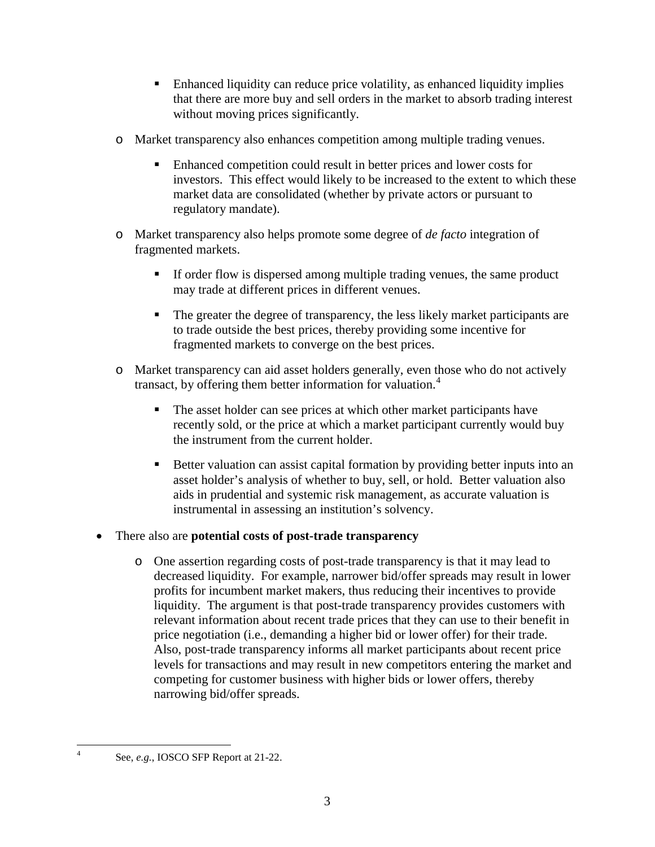- Enhanced liquidity can reduce price volatility, as enhanced liquidity implies that there are more buy and sell orders in the market to absorb trading interest without moving prices significantly.
- o Market transparency also enhances competition among multiple trading venues.
	- Enhanced competition could result in better prices and lower costs for investors. This effect would likely to be increased to the extent to which these market data are consolidated (whether by private actors or pursuant to regulatory mandate).
- o Market transparency also helps promote some degree of *de facto* integration of fragmented markets.
	- If order flow is dispersed among multiple trading venues, the same product may trade at different prices in different venues.
	- The greater the degree of transparency, the less likely market participants are to trade outside the best prices, thereby providing some incentive for fragmented markets to converge on the best prices.
- o Market transparency can aid asset holders generally, even those who do not actively transact, by offering them better information for valuation.<sup>[4](#page-2-0)</sup>
	- The asset holder can see prices at which other market participants have recently sold, or the price at which a market participant currently would buy the instrument from the current holder.
	- Better valuation can assist capital formation by providing better inputs into an asset holder's analysis of whether to buy, sell, or hold. Better valuation also aids in prudential and systemic risk management, as accurate valuation is instrumental in assessing an institution's solvency.

#### • There also are **potential costs of post-trade transparency**

o One assertion regarding costs of post-trade transparency is that it may lead to decreased liquidity. For example, narrower bid/offer spreads may result in lower profits for incumbent market makers, thus reducing their incentives to provide liquidity. The argument is that post-trade transparency provides customers with relevant information about recent trade prices that they can use to their benefit in price negotiation (i.e., demanding a higher bid or lower offer) for their trade. Also, post-trade transparency informs all market participants about recent price levels for transactions and may result in new competitors entering the market and competing for customer business with higher bids or lower offers, thereby narrowing bid/offer spreads.

<span id="page-2-0"></span> $\frac{1}{4}$ 

See, *e.g.*, IOSCO SFP Report at 21-22.